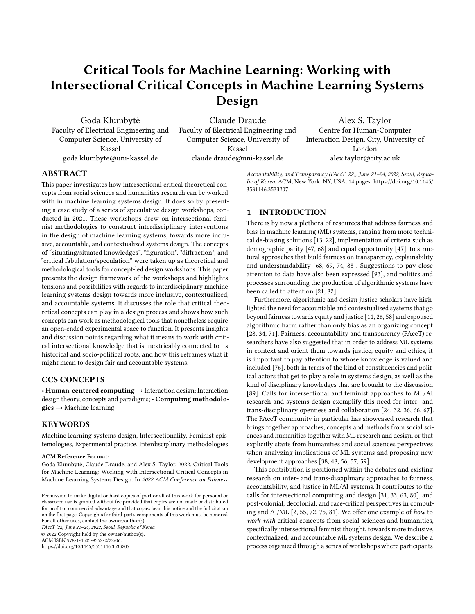# Critical Tools for Machine Learning: Working with Intersectional Critical Concepts in Machine Learning Systems Design

Goda Klumbytė Faculty of Electrical Engineering and Computer Science, University of Kassel goda.klumbyte@uni-kassel.de

Claude Draude Faculty of Electrical Engineering and Computer Science, University of Kassel claude.draude@uni-kassel.de

Alex S. Taylor Centre for Human-Computer Interaction Design, City, University of London alex.taylor@city.ac.uk

## ABSTRACT

This paper investigates how intersectional critical theoretical concepts from social sciences and humanities research can be worked with in machine learning systems design. It does so by presenting a case study of a series of speculative design workshops, conducted in 2021. These workshops drew on intersectional feminist methodologies to construct interdisciplinary interventions in the design of machine learning systems, towards more inclusive, accountable, and contextualized systems design. The concepts of "situating/situated knowledges", "figuration", "diffraction", and "critical fabulation/speculation" were taken up as theoretical and methodological tools for concept-led design workshops. This paper presents the design framework of the workshops and highlights tensions and possibilities with regards to interdisciplinary machine learning systems design towards more inclusive, contextualized, and accountable systems. It discusses the role that critical theoretical concepts can play in a design process and shows how such concepts can work as methodological tools that nonetheless require an open-ended experimental space to function. It presents insights and discussion points regarding what it means to work with critical intersectional knowledge that is inextricably connected to its historical and socio-political roots, and how this reframes what it might mean to design fair and accountable systems.

## CCS CONCEPTS

• Human-centered computing → Interaction design; Interaction design theory, concepts and paradigms; • Computing methodolo $gies \rightarrow Machine$  learning.

## **KEYWORDS**

Machine learning systems design, Intersectionality, Feminist epistemologies, Experimental practice, Interdisciplinary methodologies

#### ACM Reference Format:

Goda Klumbytė, Claude Draude, and Alex S. Taylor. 2022. Critical Tools for Machine Learning: Working with Intersectional Critical Concepts in Machine Learning Systems Design. In 2022 ACM Conference on Fairness,

FAccT '22, June 21–24, 2022, Seoul, Republic of Korea © 2022 Copyright held by the owner/author(s). ACM ISBN 978-1-4503-9352-2/22/06.

<https://doi.org/10.1145/3531146.3533207>

Accountability, and Transparency (FAccT '22), June 21–24, 2022, Seoul, Republic of Korea. ACM, New York, NY, USA, [14](#page-13-0) pages. [https://doi.org/10.1145/](https://doi.org/10.1145/3531146.3533207) [3531146.3533207](https://doi.org/10.1145/3531146.3533207)

## 1 INTRODUCTION

There is by now a plethora of resources that address fairness and bias in machine learning (ML) systems, ranging from more technical de-biasing solutions [\[13,](#page-9-0) [22\]](#page-9-1), implementation of criteria such as demographic parity [\[47,](#page-9-2) [68\]](#page-10-0) and equal opportunity [\[47\]](#page-9-2), to structural approaches that build fairness on transparency, explainability and understandability [\[68,](#page-10-0) [69,](#page-10-1) [74,](#page-10-2) [88\]](#page-10-3). Suggestions to pay close attention to data have also been expressed [\[93\]](#page-10-4), and politics and processes surrounding the production of algorithmic systems have been called to attention [\[21,](#page-9-3) [82\]](#page-10-5).

Furthermore, algorithmic and design justice scholars have highlighted the need for accountable and contextualized systems that go beyond fairness towards equity and justice [\[11,](#page-9-4) [26,](#page-9-5) [58\]](#page-10-6) and espoused algorithmic harm rather than only bias as an organizing concept [\[28,](#page-9-6) [34,](#page-9-7) [71\]](#page-10-7). Fairness, accountability and transparency (FAccT) researchers have also suggested that in order to address ML systems in context and orient them towards justice, equity and ethics, it is important to pay attention to whose knowledge is valued and included [\[76\]](#page-10-8), both in terms of the kind of constituencies and political actors that get to play a role in systems design, as well as the kind of disciplinary knowledges that are brought to the discussion [\[89\]](#page-10-9). Calls for intersectional and feminist approaches to ML/AI research and systems design exemplify this need for inter- and trans-disciplinary openness and collaboration [\[24,](#page-9-8) [32,](#page-9-9) [36,](#page-9-10) [66,](#page-10-10) [67\]](#page-10-11). The FAccT community in particular has showcased research that brings together approaches, concepts and methods from social sciences and humanities together with ML research and design, or that explicitly starts from humanities and social sciences perspectives when analyzing implications of ML systems and proposing new development approaches [\[38,](#page-9-11) [48,](#page-9-12) [56,](#page-10-12) [57,](#page-10-13) [59\]](#page-10-14).

This contribution is positioned within the debates and existing research on inter- and trans-disciplinary approaches to fairness, accountability, and justice in ML/AI systems. It contributes to the calls for intersectional computing and design [\[31,](#page-9-13) [33,](#page-9-14) [63,](#page-10-15) [80\]](#page-10-16), and post-colonial, decolonial, and race-critical perspectives in computing and AI/ML [\[2,](#page-8-0) [55,](#page-10-17) [72,](#page-10-18) [75,](#page-10-19) [81\]](#page-10-20). We offer one example of how to work with critical concepts from social sciences and humanities, specifically intersectional feminist thought, towards more inclusive, contextualized, and accountable ML systems design. We describe a process organized through a series of workshops where participants

Permission to make digital or hard copies of part or all of this work for personal or classroom use is granted without fee provided that copies are not made or distributed for profit or commercial advantage and that copies bear this notice and the full citation on the first page. Copyrights for third-party components of this work must be honored. For all other uses, contact the owner/author(s).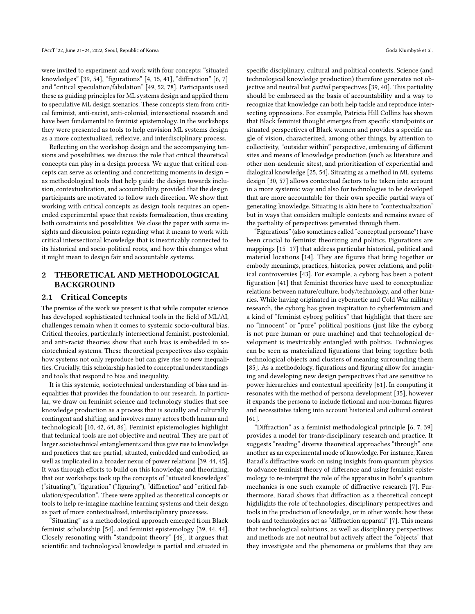were invited to experiment and work with four concepts: "situated knowledges" [\[39,](#page-9-15) [54\]](#page-10-21), "figurations" [\[4,](#page-9-16) [15,](#page-9-17) [41\]](#page-9-18), "diffraction" [\[6,](#page-9-19) [7\]](#page-9-20) and "critical speculation/fabulation" [\[49,](#page-9-21) [52,](#page-10-22) [78\]](#page-10-23). Participants used these as guiding principles for ML systems design and applied them to speculative ML design scenarios. These concepts stem from critical feminist, anti-racist, anti-colonial, intersectional research and have been fundamental to feminist epistemology. In the workshops they were presented as tools to help envision ML systems design as a more contextualized, reflexive, and interdisciplinary process.

Reflecting on the workshop design and the accompanying tensions and possibilities, we discuss the role that critical theoretical concepts can play in a design process. We argue that critical concepts can serve as orienting and concretizing moments in design – as methodological tools that help guide the design towards inclusion, contextualization, and accountability, provided that the design participants are motivated to follow such direction. We show that working with critical concepts as design tools requires an openended experimental space that resists formalization, thus creating both constraints and possibilities. We close the paper with some insights and discussion points regarding what it means to work with critical intersectional knowledge that is inextricably connected to its historical and socio-political roots, and how this changes what it might mean to design fair and accountable systems.

## 2 THEORETICAL AND METHODOLOGICAL BACKGROUND

#### 2.1 Critical Concepts

The premise of the work we present is that while computer science has developed sophisticated technical tools in the field of ML/AI, challenges remain when it comes to systemic socio-cultural bias. Critical theories, particularly intersectional feminist, postcolonial, and anti-racist theories show that such bias is embedded in sociotechnical systems. These theoretical perspectives also explain how systems not only reproduce but can give rise to new inequalities. Crucially, this scholarship has led to conceptual understandings and tools that respond to bias and inequality.

It is this systemic, sociotechnical understanding of bias and inequalities that provides the foundation to our research. In particular, we draw on feminist science and technology studies that see knowledge production as a process that is socially and culturally contingent and shifting, and involves many actors (both human and technological) [\[10,](#page-9-22) [42,](#page-9-23) [64,](#page-10-24) [86\]](#page-10-25). Feminist epistemologies highlight that technical tools are not objective and neutral. They are part of larger sociotechnical entanglements and thus give rise to knowledge and practices that are partial, situated, embedded and embodied, as well as implicated in a broader nexus of power relations [\[39,](#page-9-15) [44,](#page-9-24) [45\]](#page-9-25). It was through efforts to build on this knowledge and theorizing, that our workshops took up the concepts of "situated knowledges" ("situating"), "figuration" ("figuring"), "diffraction" and "critical fabulation/speculation". These were applied as theoretical concepts or tools to help re-imagine machine learning systems and their design as part of more contextualized, interdisciplinary processes.

"Situating" as a methodological approach emerged from Black feminist scholarship [\[54\]](#page-10-21), and feminist epistemology [\[39,](#page-9-15) [44,](#page-9-24) [44\]](#page-9-24). Closely resonating with "standpoint theory" [\[46\]](#page-9-26), it argues that scientific and technological knowledge is partial and situated in

specific disciplinary, cultural and political contexts. Science (and technological knowledge production) therefore generates not objective and neutral but partial perspectives [\[39,](#page-9-15) [40\]](#page-9-27). This partiality should be embraced as the basis of accountability and a way to recognize that knowledge can both help tackle and reproduce intersecting oppressions. For example, Patricia Hill Collins has shown that Black feminist thought emerges from specific standpoints or situated perspectives of Black women and provides a specific angle of vision, characterized, among other things, by attention to collectivity, "outsider within" perspective, embracing of different sites and means of knowledge production (such as literature and other non-academic sites), and prioritization of experiential and dialogical knowledge [\[25,](#page-9-28) [54\]](#page-10-21). Situating as a method in ML systems design [\[30,](#page-9-29) [57\]](#page-10-13) allows contextual factors to be taken into account in a more systemic way and also for technologies to be developed that are more accountable for their own specific partial ways of generating knowledge. Situating is akin here to "contextualization" but in ways that considers multiple contexts and remains aware of the partiality of perspectives generated through them.

"Figurations" (also sometimes called "conceptual personae") have been crucial to feminist theorizing and politics. Figurations are mappings [\[15](#page-9-17)[–17\]](#page-9-30) that address particular historical, political and material locations [\[14\]](#page-9-31). They are figures that bring together or embody meanings, practices, histories, power relations, and political controversies [\[43\]](#page-9-32). For example, a cyborg has been a potent figuration [\[41\]](#page-9-18) that feminist theories have used to conceptualize relations between nature/culture, body/technology, and other binaries. While having originated in cybernetic and Cold War military research, the cyborg has given inspiration to cyberfeminism and a kind of "feminist cyborg politics" that highlight that there are no "innocent" or "pure" political positions (just like the cyborg is not pure human or pure machine) and that technological development is inextricably entangled with politics. Technologies can be seen as materialized figurations that bring together both technological objects and clusters of meaning surrounding them [\[85\]](#page-10-26). As a methodology, figurations and figuring allow for imagining and developing new design perspectives that are sensitive to power hierarchies and contextual specificity [\[61\]](#page-10-27). In computing it resonates with the method of persona development [\[35\]](#page-9-33), however it expands the persona to include fictional and non-human figures and necessitates taking into account historical and cultural context [\[61\]](#page-10-27).

"Diffraction" as a feminist methodological principle [\[6,](#page-9-19) [7,](#page-9-20) [39\]](#page-9-15) provides a model for trans-disciplinary research and practice. It suggests "reading" diverse theoretical approaches "through" one another as an experimental mode of knowledge. For instance, Karen Barad's diffractive work on using insights from quantum physics to advance feminist theory of difference and using feminist epistemology to re-interpret the role of the apparatus in Bohr's quantum mechanics is one such example of diffractive research [\[7\]](#page-9-20). Furthermore, Barad shows that diffraction as a theoretical concept highlights the role of technologies, disciplinary perspectives and tools in the production of knowledge, or in other words: how these tools and technologies act as "diffraction apparati" [\[7\]](#page-9-20). This means that technological solutions, as well as disciplinary perspectives and methods are not neutral but actively affect the "objects" that they investigate and the phenomena or problems that they are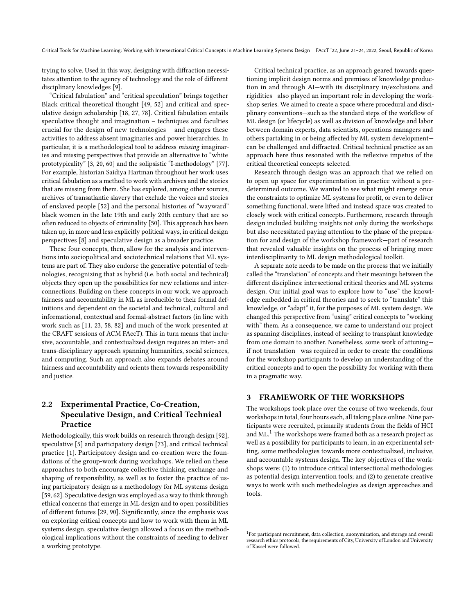trying to solve. Used in this way, designing with diffraction necessitates attention to the agency of technology and the role of different disciplinary knowledges [\[9\]](#page-9-34).

"Critical fabulation" and "critical speculation" brings together Black critical theoretical thought [\[49,](#page-9-21) [52\]](#page-10-22) and critical and speculative design scholarship [\[18,](#page-9-35) [27,](#page-9-36) [78\]](#page-10-23). Critical fabulation entails speculative thought and imagination – techniques and faculties crucial for the design of new technologies – and engages these activities to address absent imaginaries and power hierarchies. In particular, it is a methodological tool to address missing imaginaries and missing perspectives that provide an alternative to "white prototypicality" [\[3,](#page-9-37) [20,](#page-9-38) [60\]](#page-10-28) and the solipsistic "I-methodology" [\[77\]](#page-10-29). For example, historian Saidiya Hartman throughout her work uses critical fabulation as a method to work with archives and the stories that are missing from them. She has explored, among other sources, archives of transatlantic slavery that exclude the voices and stories of enslaved people [\[52\]](#page-10-22) and the personal histories of "wayward" black women in the late 19th and early 20th century that are so often reduced to objects of criminality [\[50\]](#page-9-39). This approach has been taken up, in more and less explicitly political ways, in critical design perspectives [\[8\]](#page-9-40) and speculative design as a broader practice.

These four concepts, then, allow for the analysis and interventions into sociopolitical and sociotechnical relations that ML systems are part of. They also endorse the generative potential of technologies, recognizing that as hybrid (i.e. both social and technical) objects they open up the possibilities for new relations and interconnections. Building on these concepts in our work, we approach fairness and accountability in ML as irreducible to their formal definitions and dependent on the societal and technical, cultural and informational, contextual and formal-abstract factors (in line with work such as [\[11,](#page-9-4) [23,](#page-9-41) [58,](#page-10-6) [82\]](#page-10-5) and much of the work presented at the CRAFT sessions of ACM FAccT). This in turn means that inclusive, accountable, and contextualized design requires an inter- and trans-disciplinary approach spanning humanities, social sciences, and computing. Such an approach also expands debates around fairness and accountability and orients them towards responsibility and justice.

# 2.2 Experimental Practice, Co-Creation, Speculative Design, and Critical Technical Practice

Methodologically, this work builds on research through design [\[92\]](#page-10-30), speculative [\[5\]](#page-9-42) and participatory design [\[73\]](#page-10-31), and critical technical practice [\[1\]](#page-8-1). Participatory design and co-creation were the foundations of the group-work during workshops. We relied on these approaches to both encourage collective thinking, exchange and shaping of responsibility, as well as to foster the practice of using participatory design as a methodology for ML systems design [\[59,](#page-10-14) [62\]](#page-10-32). Speculative design was employed as a way to think through ethical concerns that emerge in ML design and to open possibilities of different futures [\[29,](#page-9-43) [90\]](#page-10-33). Significantly, since the emphasis was on exploring critical concepts and how to work with them in ML systems design, speculative design allowed a focus on the methodological implications without the constraints of needing to deliver a working prototype.

Critical technical practice, as an approach geared towards questioning implicit design norms and premises of knowledge production in and through AI—with its disciplinary in/exclusions and rigidities—also played an important role in developing the workshop series. We aimed to create a space where procedural and disciplinary conventions—such as the standard steps of the workflow of ML design (or lifecycle) as well as division of knowledge and labor between domain experts, data scientists, operations managers and others partaking in or being affected by ML system development can be challenged and diffracted. Critical technical practice as an approach here thus resonated with the reflexive impetus of the critical theoretical concepts selected.

Research through design was an approach that we relied on to open up space for experimentation in practice without a predetermined outcome. We wanted to see what might emerge once the constraints to optimize ML systems for profit, or even to deliver something functional, were lifted and instead space was created to closely work with critical concepts. Furthermore, research through design included building insights not only during the workshops but also necessitated paying attention to the phase of the preparation for and design of the workshop framework—part of research that revealed valuable insights on the process of bringing more interdisciplinarity to ML design methodological toolkit.

A separate note needs to be made on the process that we initially called the "translation" of concepts and their meanings between the different disciplines: intersectional critical theories and ML systems design. Our initial goal was to explore how to "use" the knowledge embedded in critical theories and to seek to "translate" this knowledge, or "adapt" it, for the purposes of ML system design. We changed this perspective from "using" critical concepts to "working with" them. As a consequence, we came to understand our project as spanning disciplines, instead of seeking to transplant knowledge from one domain to another. Nonetheless, some work of attuning if not translation—was required in order to create the conditions for the workshop participants to develop an understanding of the critical concepts and to open the possibility for working with them in a pragmatic way.

## 3 FRAMEWORK OF THE WORKSHOPS

The workshops took place over the course of two weekends, four workshops in total, four hours each, all taking place online. Nine participants were recruited, primarily students from the fields of HCI and ML.<sup>[1](#page-2-0)</sup> The workshops were framed both as a research project as well as a possibility for participants to learn, in an experimental setting, some methodologies towards more contextualized, inclusive, and accountable systems design. The key objectives of the workshops were: (1) to introduce critical intersectional methodologies as potential design intervention tools; and (2) to generate creative ways to work with such methodologies as design approaches and tools.

<span id="page-2-0"></span><sup>&</sup>lt;sup>1</sup>For participant recruitment, data collection, anonymization, and storage and overall research ethics protocols, the requirements of City, University of London and University of Kassel were followed.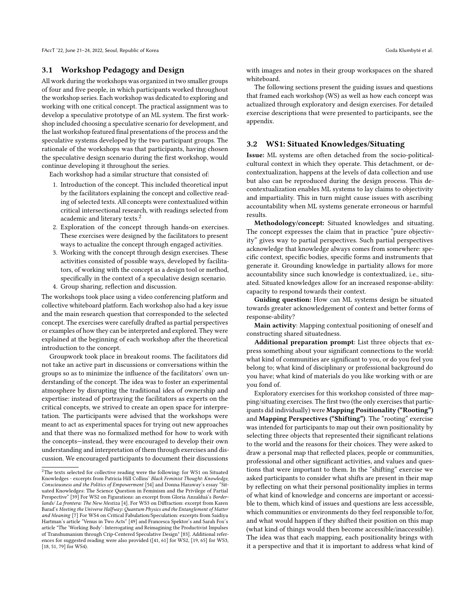FAccT '22, June 21–24, 2022, Seoul, Republic of Korea Goda Klumbyte et al. ˙

## 3.1 Workshop Pedagogy and Design

All work during the workshops was organized in two smaller groups of four and five people, in which participants worked throughout the workshop series. Each workshop was dedicated to exploring and working with one critical concept. The practical assignment was to develop a speculative prototype of an ML system. The first workshop included choosing a speculative scenario for development, and the last workshop featured final presentations of the process and the speculative systems developed by the two participant groups. The rationale of the workshops was that participants, having chosen the speculative design scenario during the first workshop, would continue developing it throughout the series.

Each workshop had a similar structure that consisted of:

- 1. Introduction of the concept. This included theoretical input by the facilitators explaining the concept and collective reading of selected texts. All concepts were contextualized within critical intersectional research, with readings selected from academic and literary texts.<sup>[2](#page-3-0)</sup>
- 2. Exploration of the concept through hands-on exercises. These exercises were designed by the facilitators to present ways to actualize the concept through engaged activities.
- 3. Working with the concept through design exercises. These activities consisted of possible ways, developed by facilitators, of working with the concept as a design tool or method, specifically in the context of a speculative design scenario.
- 4. Group sharing, reflection and discussion.

The workshops took place using a video conferencing platform and collective whiteboard platform. Each workshop also had a key issue and the main research question that corresponded to the selected concept. The exercises were carefully drafted as partial perspectives or examples of how they can be interpreted and explored. They were explained at the beginning of each workshop after the theoretical introduction to the concept.

Groupwork took place in breakout rooms. The facilitators did not take an active part in discussions or conversations within the groups so as to minimize the influence of the facilitators' own understanding of the concept. The idea was to foster an experimental atmosphere by disrupting the traditional idea of ownership and expertise: instead of portraying the facilitators as experts on the critical concepts, we strived to create an open space for interpretation. The participants were advised that the workshops were meant to act as experimental spaces for trying out new approaches and that there was no formalized method for how to work with the concepts—instead, they were encouraged to develop their own understanding and interpretation of them through exercises and discussion. We encouraged participants to document their discussions

with images and notes in their group workspaces on the shared whiteboard.

The following sections present the guiding issues and questions that framed each workshop (WS) as well as how each concept was actualized through exploratory and design exercises. For detailed exercise descriptions that were presented to participants, see the appendix.

## 3.2 WS1: Situated Knowledges/Situating

Issue: ML systems are often detached from the socio-politicalcultural context in which they operate. This detachment, or decontextualization, happens at the levels of data collection and use but also can be reproduced during the design process. This decontextualization enables ML systems to lay claims to objectivity and impartiality. This in turn might cause issues with ascribing accountability when ML systems generate erroneous or harmful results.

Methodology/concept: Situated knowledges and situating. The concept expresses the claim that in practice "pure objectivity" gives way to partial perspectives. Such partial perspectives acknowledge that knowledge always comes from somewhere: specific context, specific bodies, specific forms and instruments that generate it. Grounding knowledge in partiality allows for more accountability since such knowledge is contextualized, i.e., situated. Situated knowledges allow for an increased response-ability: capacity to respond towards their context.

Guiding question: How can ML systems design be situated towards greater acknowledgement of context and better forms of response-ability?

Main activity: Mapping contextual positioning of oneself and constructing shared situatedness.

Additional preparation prompt: List three objects that express something about your significant connections to the world: what kind of communities are significant to you, or do you feel you belong to; what kind of disciplinary or professional background do you have; what kind of materials do you like working with or are you fond of.

Exploratory exercises for this workshop consisted of three mapping/situating exercises. The first two (the only exercises that participants did individually) were Mapping Positionality ("Rooting") and Mapping Perspectives ("Shifting"). The "rooting" exercise was intended for participants to map out their own positionality by selecting three objects that represented their significant relations to the world and the reasons for their choices. They were asked to draw a personal map that reflected places, people or communities, professional and other significant activities, and values and questions that were important to them. In the "shifting" exercise we asked participants to consider what shifts are present in their map by reflecting on what their personal positionality implies in terms of what kind of knowledge and concerns are important or accessible to them, which kind of issues and questions are less accessible, which communities or environments do they feel responsible to/for, and what would happen if they shifted their position on this map (what kind of things would then become accessible/inaccessible). The idea was that each mapping, each positionality brings with it a perspective and that it is important to address what kind of

<span id="page-3-0"></span> ${\rm ^2The}$  texts selected for collective reading were the following: for WS1 on Situated Knowledges - excerpts from Patricia Hill Collins' Black Feminist Thought: Knowledge, Consciousness and the Politics of Empowerment [\[54\]](#page-10-21) and Donna Haraway's essay "Situated Knowledges: The Science Question in Feminism and the Privilege of Partial Perspective" [\[39\]](#page-9-15) For WS2 on Figurations: an excerpt from Gloria Anzalduá's Borderlands/ La frontera: The New Mestiza [\[4\]](#page-9-16). For WS3 on Diffraction: excerpt from Karen Barad's Meeting the Universe Halfway: Quantum Physics and the Entanglement of Matter and Meaning [\[7\]](#page-9-20) For WS4 on Critical Fabulation/Speculation: excerpts from Saidiya Hartman's article "Venus in Two Acts" [\[49\]](#page-9-21) and Francesca Spektor's and Sarah Fox's article "The 'Working Body': Interrogating and Reimagining the Productivist Impulses of Transhumanism through Crip-Centered Speculative Design" [\[83\]](#page-10-34). Additional references for suggested reading were also provided ([\[41,](#page-9-18) [61\]](#page-10-27) for WS2, [\[19,](#page-9-44) [65\]](#page-10-35) for WS3, [\[18,](#page-9-35) [51,](#page-9-45) [79\]](#page-10-36) for WS4).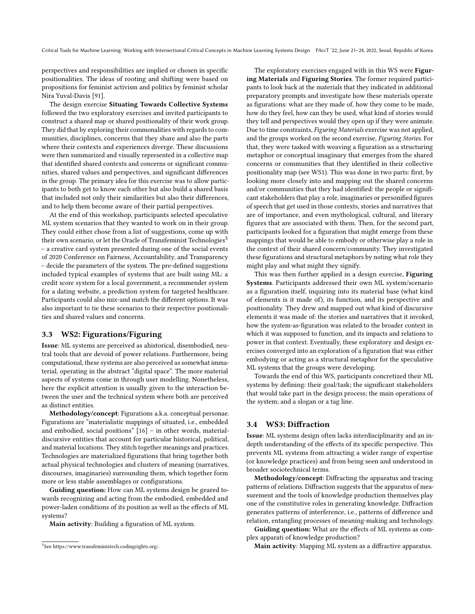perspectives and responsibilities are implied or chosen in specific positionalities. The ideas of rooting and shifting were based on propositions for feminist activism and politics by feminist scholar Nira Yuval-Davis [\[91\]](#page-10-37).

The design exercise Situating Towards Collective Systems followed the two exploratory exercises and invited participants to construct a shared map or shared positionality of their work group. They did that by exploring their commonalities with regards to communities, disciplines, concerns that they share and also the parts where their contexts and experiences diverge. These discussions were then summarized and visually represented in a collective map that identified shared contexts and concerns or significant communities, shared values and perspectives, and significant differences in the group. The primary idea for this exercise was to allow participants to both get to know each other but also build a shared basis that included not only their similarities but also their differences, and to help them become aware of their partial perspectives.

At the end of this workshop, participants selected speculative ML system scenarios that they wanted to work on in their group. They could either chose from a list of suggestions, come up with their own scenario, or let the Oracle of Transfeminist Technologies<sup>[3](#page-4-0)</sup> – a creative card system presented during one of the social events of 2020 Conference on Fairness, Accountability, and Transparency – decide the parameters of the system. The pre-defined suggestions included typical examples of systems that are built using ML: a credit score system for a local government, a recommender system for a dating website, a prediction system for targeted healthcare. Participants could also mix-and match the different options. It was also important to tie these scenarios to their respective positionalities and shared values and concerns.

#### 3.3 WS2: Figurations/Figuring

Issue: ML systems are perceived as ahistorical, disembodied, neutral tools that are devoid of power relations. Furthermore, being computational, these systems are also perceived as somewhat immaterial, operating in the abstract "digital space". The more material aspects of systems come in through user modelling. Nonetheless, here the explicit attention is usually given to the interaction between the user and the technical system where both are perceived as distinct entities.

Methodology/concept: Figurations a.k.a. conceptual personae. Figurations are "materialistic mappings of situated, i.e., embedded and embodied, social positions" [\[16\]](#page-9-46) – in other words, materialdiscursive entities that account for particular historical, political, and material locations. They stitch together meanings and practices. Technologies are materialized figurations that bring together both actual physical technologies and clusters of meaning (narratives, discourses, imaginaries) surrounding them, which together form more or less stable assemblages or configurations.

Guiding question: How can ML systems design be geared towards recognizing and acting from the embodied, embedded and power-laden conditions of its position as well as the effects of ML systems?

Main activity: Building a figuration of ML system.

The exploratory exercises engaged with in this WS were Figuring Materials and Figuring Stories. The former required participants to look back at the materials that they indicated in additional preparatory prompts and investigate how these materials operate as figurations: what are they made of, how they come to be made, how do they feel, how can they be used, what kind of stories would they tell and perspectives would they open up if they were animate. Due to time constraints, Figuring Materials exercise was not applied, and the groups worked on the second exercise, Figuring Stories. For that, they were tasked with weaving a figuration as a structuring metaphor or conceptual imaginary that emerges from the shared concerns or communities that they identified in their collective positionality map (see WS1). This was done in two parts: first, by looking more closely into and mapping out the shared concerns and/or communities that they had identified: the people or significant stakeholders that play a role, imaginaries or personified figures of speech that get used in those contexts, stories and narratives that are of importance, and even mythological, cultural, and literary figures that are associated with them. Then, for the second part, participants looked for a figuration that might emerge from these mappings that would be able to embody or otherwise play a role in the context of their shared concern/community. They investigated these figurations and structural metaphors by noting what role they might play and what might they signify.

This was then further applied in a design exercise, Figuring Systems. Participants addressed their own ML system/scenario as a figuration itself, inquiring into its material base (what kind of elements is it made of), its function, and its perspective and positionality. They drew and mapped out what kind of discursive elements it was made of: the stories and narratives that it invoked, how the system-as-figuration was related to the broader context in which it was supposed to function, and its impacts and relations to power in that context. Eventually, these exploratory and design exercises converged into an exploration of a figuration that was either embodying or acting as a structural metaphor for the speculative ML systems that the groups were developing.

Towards the end of this WS, participants concretized their ML systems by defining: their goal/task; the significant stakeholders that would take part in the design process; the main operations of the system; and a slogan or a tag line.

#### 3.4 WS3: Diffraction

Issue: ML systems design often lacks interdisciplinarity and an indepth understanding of the effects of its specific perspective. This prevents ML systems from attracting a wider range of expertise (or knowledge practices) and from being seen and understood in broader sociotechnical terms.

Methodology/concept: Diffracting the apparatus and tracing patterns of relations. Diffraction suggests that the apparatus of measurement and the tools of knowledge production themselves play one of the constitutive roles in generating knowledge. Diffraction generates patterns of interference, i.e., patterns of difference and relation, entangling processes of meaning-making and technology.

Guiding question: What are the effects of ML systems as complex apparati of knowledge production?

Main activity: Mapping ML system as a diffractive apparatus.

<span id="page-4-0"></span><sup>3</sup> See [https://www.transfeministech.codingrights.org/.](https://www.transfeministech.codingrights.org/)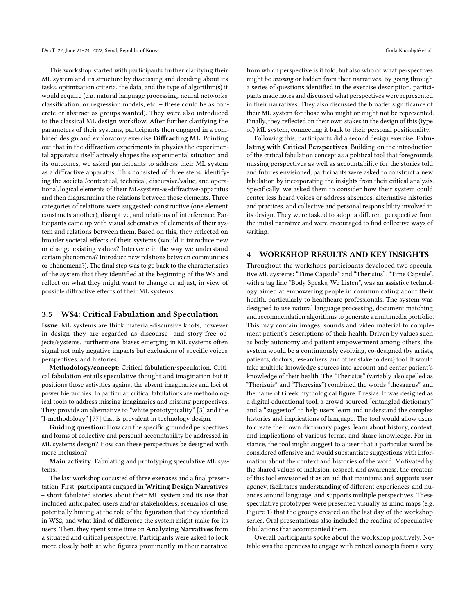This workshop started with participants further clarifying their ML system and its structure by discussing and deciding about its tasks, optimization criteria, the data, and the type of algorithm(s) it would require (e.g. natural language processing, neural networks, classification, or regression models, etc. – these could be as concrete or abstract as groups wanted). They were also introduced to the classical ML design workflow. After further clarifying the parameters of their systems, participants then engaged in a combined design and exploratory exercise Diffracting ML. Pointing out that in the diffraction experiments in physics the experimental apparatus itself actively shapes the experimental situation and its outcomes, we asked participants to address their ML system as a diffractive apparatus. This consisted of three steps: identifying the societal/contextual, technical, discursive/value, and operational/logical elements of their ML-system-as-diffractive-apparatus and then diagramming the relations between those elements. Three categories of relations were suggested: constructive (one element constructs another), disruptive, and relations of interference. Participants came up with visual schematics of elements of their system and relations between them. Based on this, they reflected on broader societal effects of their systems (would it introduce new or change existing values? Intervene in the way we understand certain phenomena? Introduce new relations between communities or phenomena?). The final step was to go back to the characteristics of the system that they identified at the beginning of the WS and reflect on what they might want to change or adjust, in view of possible diffractive effects of their ML systems.

#### 3.5 WS4: Critical Fabulation and Speculation

Issue: ML systems are thick material-discursive knots, however in design they are regarded as discourse- and story-free objects/systems. Furthermore, biases emerging in ML systems often signal not only negative impacts but exclusions of specific voices, perspectives, and histories.

Methodology/concept: Critical fabulation/speculation. Critical fabulation entails speculative thought and imagination but it positions those activities against the absent imaginaries and loci of power hierarchies. In particular, critical fabulations are methodological tools to address missing imaginaries and missing perspectives. They provide an alternative to "white prototypicality" [3] and the "I-methodology" [77] that is prevalent in technology design.

Guiding question: How can the specific grounded perspectives and forms of collective and personal accountability be addressed in ML systems design? How can these perspectives be designed with more inclusion?

Main activity: Fabulating and prototyping speculative ML systems.

The last workshop consisted of three exercises and a final presentation. First, participants engaged in Writing Design Narratives – short fabulated stories about their ML system and its use that included anticipated users and/or stakeholders, scenarios of use, potentially hinting at the role of the figuration that they identified in WS2, and what kind of difference the system might make for its users. Then, they spent some time on Analyzing Narratives from a situated and critical perspective. Participants were asked to look more closely both at who figures prominently in their narrative,

from which perspective is it told, but also who or what perspectives might be missing or hidden from their narratives. By going through a series of questions identified in the exercise description, participants made notes and discussed what perspectives were represented in their narratives. They also discussed the broader significance of their ML system for those who might or might not be represented. Finally, they reflected on their own stakes in the design of this (type of) ML system, connecting it back to their personal positionality.

Following this, participants did a second design exercise, Fabulating with Critical Perspectives. Building on the introduction of the critical fabulation concept as a political tool that foregrounds missing perspectives as well as accountability for the stories told and futures envisioned, participants were asked to construct a new fabulation by incorporating the insights from their critical analysis. Specifically, we asked them to consider how their system could center less heard voices or address absences, alternative histories and practices, and collective and personal responsibility involved in its design. They were tasked to adopt a different perspective from the initial narrative and were encouraged to find collective ways of writing.

#### 4 WORKSHOP RESULTS AND KEY INSIGHTS

Throughout the workshops participants developed two speculative ML systems: "Time Capsule" and "Therisius". "Time Capsule", with a tag line "Body Speaks, We Listen", was an assistive technology aimed at empowering people in communicating about their health, particularly to healthcare professionals. The system was designed to use natural language processing, document matching and recommendation algorithms to generate a multimedia portfolio. This may contain images, sounds and video material to complement patient's descriptions of their health. Driven by values such as body autonomy and patient empowerment among others, the system would be a continuously evolving, co-designed (by artists, patients, doctors, researchers, and other stakeholders) tool. It would take multiple knowledge sources into account and center patient's knowledge of their health. The "Therisius" (variably also spelled as "Therisuis" and "Theresias") combined the words "thesaurus" and the name of Greek mythological figure Tiresias. It was designed as a digital educational tool, a crowd-sourced "entangled dictionary" and a "suggestor" to help users learn and understand the complex histories and implications of language. The tool would allow users to create their own dictionary pages, learn about history, context, and implications of various terms, and share knowledge. For instance, the tool might suggest to a user that a particular word be considered offensive and would substantiate suggestions with information about the context and histories of the word. Motivated by the shared values of inclusion, respect, and awareness, the creators of this tool envisioned it as an aid that maintains and supports user agency, facilitates understanding of different experiences and nuances around language, and supports multiple perspectives. These speculative prototypes were presented visually as mind maps (e.g. Figure [1\)](#page-6-0) that the groups created on the last day of the workshop series. Oral presentations also included the reading of speculative fabulations that accompanied them.

Overall participants spoke about the workshop positively. Notable was the openness to engage with critical concepts from a very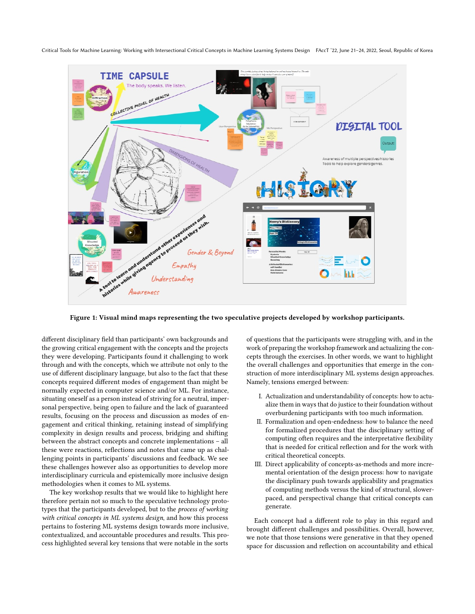<span id="page-6-0"></span>Critical Tools for Machine Learning: Working with Intersectional Critical Concepts in Machine Learning Systems Design FAccT '22, June 21–24, 2022, Seoul, Republic of Korea



Figure 1: Visual mind maps representing the two speculative projects developed by workshop participants.

different disciplinary field than participants' own backgrounds and the growing critical engagement with the concepts and the projects they were developing. Participants found it challenging to work through and with the concepts, which we attribute not only to the use of different disciplinary language, but also to the fact that these concepts required different modes of engagement than might be normally expected in computer science and/or ML. For instance, situating oneself as a person instead of striving for a neutral, impersonal perspective, being open to failure and the lack of guaranteed results, focusing on the process and discussion as modes of engagement and critical thinking, retaining instead of simplifying complexity in design results and process, bridging and shifting between the abstract concepts and concrete implementations – all these were reactions, reflections and notes that came up as challenging points in participants' discussions and feedback. We see these challenges however also as opportunities to develop more interdisciplinary curricula and epistemically more inclusive design methodologies when it comes to ML systems.

The key workshop results that we would like to highlight here therefore pertain not so much to the speculative technology prototypes that the participants developed, but to the process of working with critical concepts in ML systems design, and how this process pertains to fostering ML systems design towards more inclusive, contextualized, and accountable procedures and results. This process highlighted several key tensions that were notable in the sorts

of questions that the participants were struggling with, and in the work of preparing the workshop framework and actualizing the concepts through the exercises. In other words, we want to highlight the overall challenges and opportunities that emerge in the construction of more interdisciplinary ML systems design approaches. Namely, tensions emerged between:

- I. Actualization and understandability of concepts: how to actualize them in ways that do justice to their foundation without overburdening participants with too much information.
- II. Formalization and open-endedness: how to balance the need for formalized procedures that the disciplinary setting of computing often requires and the interpretative flexibility that is needed for critical reflection and for the work with critical theoretical concepts.
- III. Direct applicability of concepts-as-methods and more incremental orientation of the design process: how to navigate the disciplinary push towards applicability and pragmatics of computing methods versus the kind of structural, slowerpaced, and perspectival change that critical concepts can generate.

Each concept had a different role to play in this regard and brought different challenges and possibilities. Overall, however, we note that those tensions were generative in that they opened space for discussion and reflection on accountability and ethical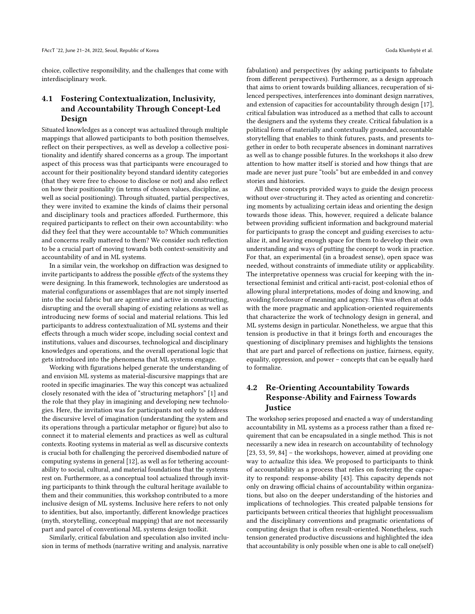choice, collective responsibility, and the challenges that come with interdisciplinary work.

# 4.1 Fostering Contextualization, Inclusivity, and Accountability Through Concept-Led Design

Situated knowledges as a concept was actualized through multiple mappings that allowed participants to both position themselves, reflect on their perspectives, as well as develop a collective positionality and identify shared concerns as a group. The important aspect of this process was that participants were encouraged to account for their positionality beyond standard identity categories (that they were free to choose to disclose or not) and also reflect on how their positionality (in terms of chosen values, discipline, as well as social positioning). Through situated, partial perspectives, they were invited to examine the kinds of claims their personal and disciplinary tools and practices afforded. Furthermore, this required participants to reflect on their own accountability: who did they feel that they were accountable to? Which communities and concerns really mattered to them? We consider such reflection to be a crucial part of moving towards both context-sensitivity and accountability of and in ML systems.

In a similar vein, the workshop on diffraction was designed to invite participants to address the possible effects of the systems they were designing. In this framework, technologies are understood as material configurations or assemblages that are not simply inserted into the social fabric but are agentive and active in constructing, disrupting and the overall shaping of existing relations as well as introducing new forms of social and material relations. This led participants to address contextualization of ML systems and their effects through a much wider scope, including social context and institutions, values and discourses, technological and disciplinary knowledges and operations, and the overall operational logic that gets introduced into the phenomena that ML systems engage.

Working with figurations helped generate the understanding of and envision ML systems as material-discursive mappings that are rooted in specific imaginaries. The way this concept was actualized closely resonated with the idea of "structuring metaphors" [\[1\]](#page-8-1) and the role that they play in imagining and developing new technologies. Here, the invitation was for participants not only to address the discursive level of imagination (understanding the system and its operations through a particular metaphor or figure) but also to connect it to material elements and practices as well as cultural contexts. Rooting systems in material as well as discursive contexts is crucial both for challenging the perceived disembodied nature of computing systems in general [\[12\]](#page-9-47), as well as for tethering accountability to social, cultural, and material foundations that the systems rest on. Furthermore, as a conceptual tool actualized through inviting participants to think through the cultural heritage available to them and their communities, this workshop contributed to a more inclusive design of ML systems. Inclusive here refers to not only to identities, but also, importantly, different knowledge practices (myth, storytelling, conceptual mapping) that are not necessarily part and parcel of conventional ML systems design toolkit.

Similarly, critical fabulation and speculation also invited inclusion in terms of methods (narrative writing and analysis, narrative

fabulation) and perspectives (by asking participants to fabulate from different perspectives). Furthermore, as a design approach that aims to orient towards building alliances, recuperation of silenced perspectives, interferences into dominant design narratives, and extension of capacities for accountability through design [\[17\]](#page-9-30), critical fabulation was introduced as a method that calls to account the designers and the systems they create. Critical fabulation is a political form of materially and contextually grounded, accountable storytelling that enables to think futures, pasts, and presents together in order to both recuperate absences in dominant narratives as well as to change possible futures. In the workshops it also drew attention to how matter itself is storied and how things that are made are never just pure "tools" but are embedded in and convey stories and histories.

All these concepts provided ways to guide the design process without over-structuring it. They acted as orienting and concretizing moments by actualizing certain ideas and orienting the design towards those ideas. This, however, required a delicate balance between providing sufficient information and background material for participants to grasp the concept and guiding exercises to actualize it, and leaving enough space for them to develop their own understanding and ways of putting the concept to work in practice. For that, an experimental (in a broadest sense), open space was needed, without constraints of immediate utility or applicability. The interpretative openness was crucial for keeping with the intersectional feminist and critical anti-racist, post-colonial ethos of allowing plural interpretations, modes of doing and knowing, and avoiding foreclosure of meaning and agency. This was often at odds with the more pragmatic and application-oriented requirements that characterize the work of technology design in general, and ML systems design in particular. Nonetheless, we argue that this tension is productive in that it brings forth and encourages the questioning of disciplinary premises and highlights the tensions that are part and parcel of reflections on justice, fairness, equity, equality, oppression, and power – concepts that can be equally hard to formalize.

# 4.2 Re-Orienting Accountability Towards Response-Ability and Fairness Towards Justice

The workshop series proposed and enacted a way of understanding accountability in ML systems as a process rather than a fixed requirement that can be encapsulated in a single method. This is not necessarily a new idea in research on accountability of technology [\[23,](#page-9-41) [53,](#page-10-38) [59,](#page-10-14) [84\]](#page-10-39) – the workshops, however, aimed at providing one way to actualize this idea. We proposed to participants to think of accountability as a process that relies on fostering the capacity to respond: response-ability [\[43\]](#page-9-32). This capacity depends not only on drawing official chains of accountability within organizations, but also on the deeper understanding of the histories and implications of technologies. This created palpable tensions for participants between critical theories that highlight processualism and the disciplinary conventions and pragmatic orientations of computing design that is often result-oriented. Nonetheless, such tension generated productive discussions and highlighted the idea that accountability is only possible when one is able to call one(self)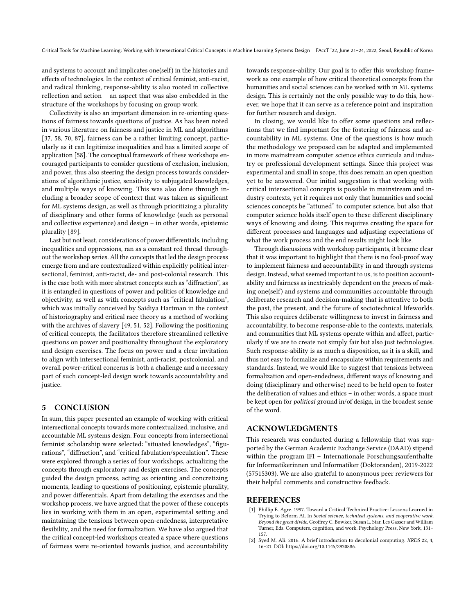and systems to account and implicates one(self) in the histories and effects of technologies. In the context of critical feminist, anti-racist, and radical thinking, response-ability is also rooted in collective reflection and action – an aspect that was also embedded in the structure of the workshops by focusing on group work.

Collectivity is also an important dimension in re-orienting questions of fairness towards questions of justice. As has been noted in various literature on fairness and justice in ML and algorithms [\[37,](#page-9-48) [58,](#page-10-6) [70,](#page-10-40) [87\]](#page-10-41), fairness can be a rather limiting concept, particularly as it can legitimize inequalities and has a limited scope of application [\[58\]](#page-10-6). The conceptual framework of these workshops encouraged participants to consider questions of exclusion, inclusion, and power, thus also steering the design process towards considerations of algorithmic justice, sensitivity to subjugated knowledges, and multiple ways of knowing. This was also done through including a broader scope of context that was taken as significant for ML systems design, as well as through prioritizing a plurality of disciplinary and other forms of knowledge (such as personal and collective experience) and design – in other words, epistemic plurality [\[89\]](#page-10-9).

Last but not least, considerations of power differentials, including inequalities and oppressions, ran as a constant red thread throughout the workshop series. All the concepts that led the design process emerge from and are contextualized within explicitly political intersectional, feminist, anti-racist, de- and post-colonial research. This is the case both with more abstract concepts such as "diffraction", as it is entangled in questions of power and politics of knowledge and objectivity, as well as with concepts such as "critical fabulation", which was initially conceived by Saidiya Hartman in the context of historiography and critical race theory as a method of working with the archives of slavery [\[49,](#page-9-21) [51,](#page-9-45) [52\]](#page-10-22). Following the positioning of critical concepts, the facilitators therefore streamlined reflexive questions on power and positionality throughout the exploratory and design exercises. The focus on power and a clear invitation to align with intersectional feminist, anti-racist, postcolonial, and overall power-critical concerns is both a challenge and a necessary part of such concept-led design work towards accountability and justice.

#### 5 CONCLUSION

In sum, this paper presented an example of working with critical intersectional concepts towards more contextualized, inclusive, and accountable ML systems design. Four concepts from intersectional feminist scholarship were selected: "situated knowledges", "figurations", "diffraction", and "critical fabulation/speculation". These were explored through a series of four workshops, actualizing the concepts through exploratory and design exercises. The concepts guided the design process, acting as orienting and concretizing moments, leading to questions of positioning, epistemic plurality, and power differentials. Apart from detailing the exercises and the workshop process, we have argued that the power of these concepts lies in working with them in an open, experimental setting and maintaining the tensions between open-endedness, interpretative flexibility, and the need for formalization. We have also argued that the critical concept-led workshops created a space where questions of fairness were re-oriented towards justice, and accountability

towards response-ability. Our goal is to offer this workshop framework as one example of how critical theoretical concepts from the humanities and social sciences can be worked with in ML systems design. This is certainly not the only possible way to do this, however, we hope that it can serve as a reference point and inspiration for further research and design.

In closing, we would like to offer some questions and reflections that we find important for the fostering of fairness and accountability in ML systems. One of the questions is how much the methodology we proposed can be adapted and implemented in more mainstream computer science ethics curricula and industry or professional development settings. Since this project was experimental and small in scope, this does remain an open question yet to be answered. Our initial suggestion is that working with critical intersectional concepts is possible in mainstream and industry contexts, yet it requires not only that humanities and social sciences concepts be "attuned" to computer science, but also that computer science holds itself open to these different disciplinary ways of knowing and doing. This requires creating the space for different processes and languages and adjusting expectations of what the work process and the end results might look like.

Through discussions with workshop participants, it became clear that it was important to highlight that there is no fool-proof way to implement fairness and accountability in and through systems design. Instead, what seemed important to us, is to position accountability and fairness as inextricably dependent on the process of making one(self) and systems and communities accountable through deliberate research and decision-making that is attentive to both the past, the present, and the future of sociotechnical lifeworlds. This also requires deliberate willingness to invest in fairness and accountability, to become response-able to the contexts, materials, and communities that ML systems operate within and affect, particularly if we are to create not simply fair but also just technologies. Such response-ability is as much a disposition, as it is a skill, and thus not easy to formalize and encapsulate within requirements and standards. Instead, we would like to suggest that tensions between formalization and open-endedness, different ways of knowing and doing (disciplinary and otherwise) need to be held open to foster the deliberation of values and ethics – in other words, a space must be kept open for political ground in/of design, in the broadest sense of the word.

#### ACKNOWLEDGMENTS

This research was conducted during a fellowship that was supported by the German Academic Exchange Service (DAAD) stipend within the program IFI – Internationale Forschungsaufenthalte für Informatikerinnen und Informatiker (Doktoranden), 2019-2022 (57515303). We are also grateful to anonymous peer reviewers for their helpful comments and constructive feedback.

#### REFERENCES

- <span id="page-8-1"></span>[1] Phillip E. Agre. 1997. Toward a Critical Technical Practice: Lessons Learned in Trying to Reform AI. In Social science, technical systems, and cooperative work. Beyond the great divide, Geoffrey C. Bowker, Susan L. Star, Les Gasser and William Turner, Eds. Computers, cognition, and work. Psychology Press, New York, 131–
- <span id="page-8-0"></span>157. [2] Syed M. Ali. 2016. A brief introduction to decolonial computing. XRDS 22, 4, 16–21. DOI: [https://doi.org/10.1145/2930886.](https://doi.org/10.1145/2930886)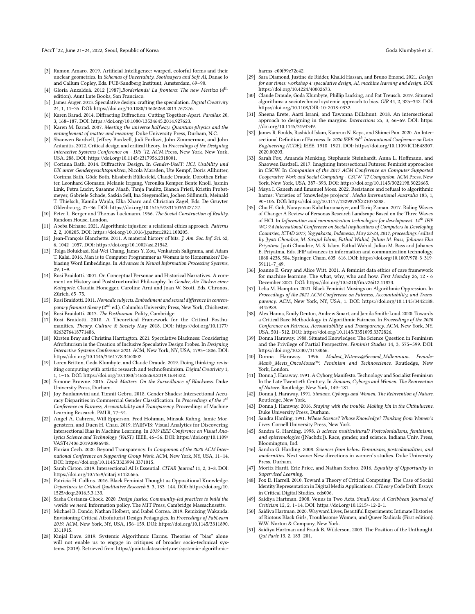FAccT '22, June 21–24, 2022, Seoul, Republic of Korea Goda Klumbyte et al. ˙

- <span id="page-9-37"></span>[3] Ramon Amaro. 2019. Artificial Intelligence: warped, colorful forms and their unclear geometries. In Schemas of Uncertainty. Soothsayers and Soft AI, Danae Io and Callum Copley, Eds. PUB/Sandberg Instituut, Amsterdam, 69–90.
- <span id="page-9-16"></span>[4] Gloria Anzalduá. 2012 [1987].Borderlands/ La frontera: The new Mestiza (4<sup>th</sup> edition). Aunt Lute Books, San Francisco.
- <span id="page-9-42"></span>[5] James Auger. 2013. Speculative design: crafting the speculation. Digital Creativity 24, 1, 11–35. DOI: [https://doi.org/10.1080/14626268.2013.767276.](https://doi.org/10.1080/14626268.2013.767276)
- <span id="page-9-19"></span>[6] Karen Barad. 2014. Diffracting Diffraction: Cutting Together-Apart. Parallax 20, 3, 168–187. DOI: [https://doi.org/10.1080/13534645.2014.927623.](https://doi.org/10.1080/13534645.2014.927623)
- <span id="page-9-20"></span>[7] Karen M. Barad. 2007. Meeting the universe halfway. Quantum physics and the entanglement of matter and meaning. Duke University Press, Durham, N.C.
- <span id="page-9-40"></span>[8] Shaowen Bardzell, Jeffrey Bardzell, Jodi Forlizzi, John Zimmerman, and John Antanitis. 2012. Critical design and critical theory. In Proceedings of the Designing Interactive Systems Conference on - DIS '12. ACM Press, New York, New York, USA, 288. DOI: [https://doi.org/10.1145/2317956.2318001.](https://doi.org/10.1145/2317956.2318001)
- <span id="page-9-34"></span>[9] Corinna Bath. 2014. Diffractive Design. In Gender-UseIT: HCI, Usability und UX unter Gendergesichtspunkten, Nicola Marsden, Ute Kempf, Doris Allhutter, Corinna Bath, Göde Both, Elisabeth Büllesfeld, Claude Draude, Dorothea Erharter, Leonhard Glomann, Melanie Irrgang, Veronika Kemper, Bente Knoll, Jasmin Link, Petra Lucht, Susanne Maaß, Tanja Paulitz, Bianca Prietl, Kristin Probstmeyer, Gabriele Schade, Saskia Sell, Ina Stegemöller, Jochen Süßmuth, Meinald T. Thielsch, Kamila Wajda, Elka Xharo and Christian Zagel, Eds. De Gruyter Oldenbourg, 27–36. DOI: [https://doi.org/10.1515/9783110363227.27.](https://doi.org/10.1515/9783110363227.27)
- <span id="page-9-22"></span>[10] Peter L. Berger and Thomas Luckmann. 1966. The Social Construction of Reality. Random House, London.
- <span id="page-9-4"></span>[11] Abeba Birhane. 2021. Algorithmic injustice: a relational ethics approach. Patterns 2, 2, 100205. DOI: [https://doi.org/10.1016/j.patter.2021.100205.](https://doi.org/10.1016/j.patter.2021.100205)
- <span id="page-9-47"></span>[12] Jean-François Blanchette. 2011. A material history of bits. J. Am. Soc. Inf. Sci. 62, 6, 1042–1057. DOI: [https://doi.org/10.1002/asi.21542.](https://doi.org/10.1002/asi.21542)
- <span id="page-9-0"></span>[13] Tolga Bolukbasi, Kai-Wei Chang, James Y. Zou, Venkatesh Saligrama, and Adam T. Kalai. 2016. Man is to Computer Programmer as Woman is to Homemaker? Debiasing Word Embeddings. In Advances in Neural Information Processing Systems,  $29.1 - 9.$
- <span id="page-9-31"></span>[14] Rosi Braidotti. 2001. On Conceptual Personae and Historical Narratives. A comment on History and Poststructuralist Philosophy. In Gender, die Tücken einer Kategorie, Claudia Honegger, Caroline Arni and Joan W. Scott, Eds. Chronos, Zürich, 65–75.
- <span id="page-9-17"></span>[15] Rosi Braidotti. 2011. Nomadic subjects. Embodiment and sexual difference in contemporary feminist theory (2<sup>nd</sup> ed.). Columbia University Press, New York, Chichester.
- <span id="page-9-46"></span><span id="page-9-30"></span>[16] Rosi Braidotti. 2013. The Posthuman. Polity, Cambridge. [17] Rosi Braidotti. 2018. A Theoretical Framework for the Critical Posthu-
- manities. Theory, Culture & Society May 2018. DOI: [https://doi.org/10.1177/](https://doi.org/10.1177/0263276418771486) [0263276418771486.](https://doi.org/10.1177/0263276418771486)
- <span id="page-9-35"></span>[18] Kirsten Bray and Christina Harrington. 2021. Speculative Blackness: Considering Afrofuturism in the Creation of Inclusive Speculative Design Probes. In Designing Interactive Systems Conference 2021. ACM, New York, NY, USA, 1793–1806. DOI: [https://doi.org/10.1145/3461778.3462002.](https://doi.org/10.1145/3461778.3462002)
- <span id="page-9-44"></span>[19] Loren Britton, Goda Klumbyte, and Claude Draude, 2019. Doing thinking: revisiting computing with artistic research and technofeminism. Digital Creativity 1, 1, 1–16. DOI: [https://doi.org/10.1080/14626268.2019.1684322.](https://doi.org/10.1080/14626268.2019.1684322)
- <span id="page-9-38"></span>[20] Simone Browne. 2015. Dark Matters. On the Surveillance of Blackness. Duke University Press, Durham.
- <span id="page-9-3"></span>[21] Joy Buolamwini and Timnit Gebru. 2018. Gender Shades: Intersectional Accuracy Disparities in Commercial Gender Classification. In Proceedings of the 1st Conference on Fairness, Accountability and Transparency. Proceedings of Machine Learning Research. PMLR, 77–91.
- <span id="page-9-1"></span>[22] Angel A. Cabrera, Will Epperson, Fred Hohman, Minsuk Kahng, Jamie Morgenstern, and Duen H. Chau. 2019. FAIRVIS: Visual Analytics for Discovering Intersectional Bias in Machine Learning. In 2019 IEEE Conference on Visual Analytics Science and Technology (VAST). IEEE, 46–56. DOI: [https://doi.org/10.1109/](https://doi.org/10.1109/VAST47406.2019.8986948) [VAST47406.2019.8986948.](https://doi.org/10.1109/VAST47406.2019.8986948)
- <span id="page-9-41"></span>[23] Florian Cech. 2020. Beyond Transparency. In Companion of the 2020 ACM International Conference on Supporting Group Work. ACM, New York, NY, USA, 11–14. DOI: [https://doi.org/10.1145/3323994.3371015.](https://doi.org/10.1145/3323994.3371015)
- <span id="page-9-8"></span>[24] Sarah Ciston. 2019. Intersectional AI Is Essential. CITAR Journal 11, 2, 3–8. DOI: [https://doi.org/10.7559/citarj.v11i2.665.](https://doi.org/10.7559/citarj.v11i2.665)
- <span id="page-9-28"></span>[25] Patricia H. Collins. 2016. Black Feminist Thought as Oppositional Knowledge. Departures in Critical Qualitative Research 5, 3, 133–144. DOI: [https://doi.org/10.](https://doi.org/10.1525/dcqr.2016.5.3.133) [1525/dcqr.2016.5.3.133.](https://doi.org/10.1525/dcqr.2016.5.3.133)
- <span id="page-9-5"></span>[26] Sasha Costanza-Chock. 2020. Design justice. Community-led practices to build the worlds we need. Information policy. The MIT Press, Cambridge Massachusetts.
- <span id="page-9-36"></span>[27] Michael B. Dando, Nathan Holbert, and Isabel Correa. 2019. Remixing Wakanda: Envisioning Critical Afrofuturist Design Pedagogies. In Proceedings of FabLearn 2019. ACM, New York, NY, USA, 156–159. DOI: [https://doi.org/10.1145/3311890.](https://doi.org/10.1145/3311890.3311915) [3311915.](https://doi.org/10.1145/3311890.3311915)
- <span id="page-9-6"></span>[28] Kinjal Dave. 2019. Systemic Algorithmic Harms. Theories of "bias" alone will not enable us to engage in critiques of broader socio-technical systems. (2019). Retrieved from [https://points.datasociety.net/systemic-algorithmic-](https://points.datasociety.net/systemic-algorithmic-harms-e00f99e72c42)

[harms-e00f99e72c42.](https://points.datasociety.net/systemic-algorithmic-harms-e00f99e72c42)

- <span id="page-9-43"></span>[29] Sara Diamond, Justine de Ridder, Khalid Hassan, and Bruno Emond. 2021. Design for our times: workshop 4: speculative design, AI, machine learning and design. DOI: [https://doi.org/10.4224/40002673.](https://doi.org/10.4224/40002673)
- <span id="page-9-29"></span>[30] Claude Draude, Goda Klumbyte, Phillip Lücking, and Pat Treusch. 2019. Situated algorithms: a sociotechnical systemic approach to bias. OIR 44, 2, 325–342. DOI: [https://doi.org/10.1108/OIR-10-2018-0332.](https://doi.org/10.1108/OIR-10-2018-0332)
- <span id="page-9-13"></span>[31] Sheena Erete, Aarti Israni, and Tawanna Dillahunt. 2018. An intersectional approach to designing in the margins. Interactions 25, 3, 66–69. DOI: [https:](https://doi.org/10.1145/3194349) [//doi.org/10.1145/3194349.](https://doi.org/10.1145/3194349)
- <span id="page-9-9"></span>[32] James R. Foulds, Rashidul Islam, Kamrun N. Keya, and Shimei Pan. 2020. An Intersectional Definition of Fairness. In 2020 IEEE 36<sup>th</sup> International Conference on Data Engineering (ICDE). IEEE, 1918–1921. DOI: [https://doi.org/10.1109/ICDE48307.](https://doi.org/10.1109/ICDE48307.2020.00203) [2020.00203.](https://doi.org/10.1109/ICDE48307.2020.00203)
- <span id="page-9-14"></span>[33] Sarah Fox, Amanda Menking, Stephanie Steinhardt, Anna L. Hoffmann, and Shaowen Bardzell. 2017. Imagining Intersectional Futures: Feminist approaches in CSCW. In Companion of the 2017 ACM Conference on Computer Supported Cooperative Work and Social Computing - CSCW '17 Companion. ACM Press, New York, New York, USA, 387–393. DOI: [https://doi.org/10.1145/3022198.3022665.](https://doi.org/10.1145/3022198.3022665)
- <span id="page-9-7"></span>[34] Maya I. Ganesh and Emanuel Moss. 2022. Resistance and refusal to algorithmic harms: Varieties of 'knowledge projects'. Media International Australia 183, 1, 90–106. DOI: [https://doi.org/10.1177/1329878X221076288.](https://doi.org/10.1177/1329878X221076288)
- <span id="page-9-33"></span>[35] Chu H. Goh, Narayanan Kulathuramaiyer, and Tariq Zaman. 2017. Riding Waves of Change: A Review of Personas Research Landscape Based on the Three Waves of HCI. In Information and communication technologies for development. 14<sup>th</sup> IFIP WG 9.4 International Conference on Social Implications of Computers in Developing Countries, ICT4D 2017, Yogyakarta, Indonesia, May 22-24, 2017, proceedings / edited by Jyoti Choudrie, M. Sirajul Islam, Fathul Wahid, Julian M. Bass, Johanes Eka Priyatma, Jyoti Choudrie, M. S. Islam, Fathul Wahid, Julian M. Bass and Johanes E. Priyatma, Eds. IFIP advances in information and communication technology, 1868-4238, 504. Springer, Cham, 605–616. DOI: [https://doi.org/10.1007/978-3-319-](https://doi.org/10.1007/978-3-319-59111-7_49) [59111-7\\_49.](https://doi.org/10.1007/978-3-319-59111-7_49)
- <span id="page-9-10"></span>[36] Joanne E. Gray and Alice Witt. 2021. A feminist data ethics of care framework for machine learning. The what, why, who and how. First Monday 26, 12 - 6 December 2021. DOI: [https://doi.org/10.5210/fm.v26i12.11833.](https://doi.org/10.5210/fm.v26i12.11833)
- <span id="page-9-48"></span>[37] Lelia M. Hampton. 2021. Black Feminist Musings on Algorithmic Oppression. In Proceedings of the 2021 ACM Conference on Fairness, Accountability, and Transparency. ACM, New York, NY, USA, 1. DOI: [https://doi.org/10.1145/3442188.](https://doi.org/10.1145/3442188.3445929) [3445929.](https://doi.org/10.1145/3442188.3445929)
- <span id="page-9-11"></span>[38] Alex Hanna, Emily Denton, Andrew Smart, and Jamila Smith-Loud. 2020. Towards a Critical Race Methodology in Algorithmic Fairness. In Proceedings of the 2020 Conference on Fairness, Accountability, and Transparency. ACM, New York, NY, USA, 501–512. DOI: [https://doi.org/10.1145/3351095.3372826.](https://doi.org/10.1145/3351095.3372826)
- <span id="page-9-15"></span>[39] Donna Haraway. 1988. Situated Knowledges: The Science Question in Feminism and the Privilege of Partial Perspective. Feminist Studies 14, 3, 575–599. DOI: [https://doi.org/10.2307/3178066.](https://doi.org/10.2307/3178066)
- <span id="page-9-27"></span>[40] Donna Haraway. 1996. Modest\_Witness@Second\_Millennium. Female-Man© Meets\_OncoMouse™. Feminism and Technoscience. Routledge, New York, London.
- <span id="page-9-18"></span>[41] Donna J. Haraway. 1991. A Cyborg Manifesto. Technology and Socialist Feminism In the Late Twentieth Century. In Simians, Cyborgs and Women. The Reinvention of Nature. Routledge, New York, 149–181.
- <span id="page-9-23"></span>[42] Donna J. Haraway. 1991. Simians, Cyborgs and Women. The Reinvention of Nature. Routledge, New York.
- <span id="page-9-32"></span>[43] Donna J. Haraway. 2016. Staying with the trouble. Making kin in the Chthulucene. Duke University Press, Durham.
- <span id="page-9-24"></span>[44] Sandra Harding. 1991. Whose Science? Whose Knowledge? Thinking from Women's Lives. Cornell University Press, New York.
- <span id="page-9-25"></span>[45] Sandra G. Harding. 1998. Is science multicultural? Postcolonialisms, feminisms, and epistemologies ([Nachdr.]). Race, gender, and science. Indiana Univ. Press, Bloomington, Ind.
- <span id="page-9-26"></span>[46] Sandra G. Harding. 2008. Sciences from below. Feminisms, postcolonialities, and modernities. Next wave: New directions in women's studies. Duke University Press, Durham.
- <span id="page-9-2"></span>[47] Moritz Hardt, Eric Price, and Nathan Srebro. 2016. Equality of Opportunity in Supervised Learning.
- <span id="page-9-12"></span>[48] Fox D. Harrell. 2010. Toward a Theory of Critical Computing: The Case of Social Identity Representation in Digital Media Applications. CTheory Code Drift: Essays in Critical Digital Studies, cds006.
- <span id="page-9-21"></span>[49] Saidiya Hartman. 2008. Venus in Two Acts. Small Axe: A Caribbean Journal of Criticism 12, 2, 1–14. DOI: [https://doi.org/10.1215/-12-2-1.](https://doi.org/10.1215/-12-2-1)
- <span id="page-9-39"></span>[50] Saidiya Hartman. 2020. Wayward Lives, Beautiful Experiments: Intimate Histories of Riotous Black Girls, Troublesome Women, and Queer Radicals (First edition). W.W. Norton & Company, New York.
- <span id="page-9-45"></span>[51] Saidiya Hartman and Frank B. Wilderson. 2003. The Position of the Unthought. Qui Parle 13, 2, 183–201.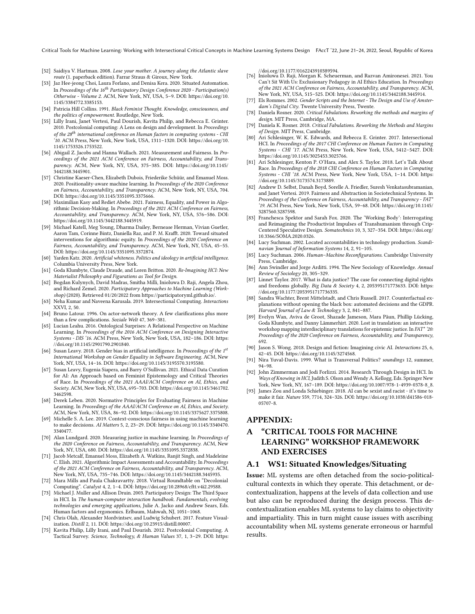Critical Tools for Machine Learning: Working with Intersectional Critical Concepts in Machine Learning Systems Design FAccT '22, June 21–24, 2022, Seoul, Republic of Korea

- <span id="page-10-22"></span>[52] Saidiya V. Hartman. 2008. Lose your mother. A journey along the Atlantic slave route (1. paperback edition). Farrar Straus & Giroux, New York.
- <span id="page-10-38"></span>[53] Jaz Hee-jeong Choi, Laura Forlano, and Denisa Kera. 2020. Situated Automation. In Proceedings of the  $16^{th}$  Participatory Design Conference 2020 - Participation(s) Otherwise - Volume 2. ACM, New York, NY, USA, 5–9. DOI: [https://doi.org/10.](https://doi.org/10.1145/3384772.3385153) [1145/3384772.3385153.](https://doi.org/10.1145/3384772.3385153)
- <span id="page-10-21"></span>[54] Patricia Hill Collins. 1991. Black Feminist Thought. Knowledge, consciousness, and the politics of empowerment. Routledge, New York.
- <span id="page-10-17"></span>[55] Lilly Irani, Janet Vertesi, Paul Dourish, Kavita Philip, and Rebecca E. Grinter. 2010. Postcolonial computing: A Lens on design and development. In Proceedings of the  $28^{th}$  international conference on Human factors in computing systems - CHI '10. ACM Press, New York, New York, USA, 1311–1320. DOI: [https://doi.org/10.](https://doi.org/10.1145/1753326.1753522) [1145/1753326.1753522.](https://doi.org/10.1145/1753326.1753522)
- <span id="page-10-12"></span>[56] Abigail Z. Jacobs and Hanna Wallach. 2021. Measurement and Fairness. In Proceedings of the 2021 ACM Conference on Fairness, Accountability, and Transparency. ACM, New York, NY, USA, 375–385. DOI: [https://doi.org/10.1145/](https://doi.org/10.1145/3442188.3445901) [3442188.3445901.](https://doi.org/10.1145/3442188.3445901)
- <span id="page-10-13"></span>[57] Christine Kaeser-Chen, Elizabeth Dubois, Friederike Schüür, and Emanuel Moss. 2020. Positionality-aware machine learning. In Proceedings of the 2020 Conference on Fairness, Accountability, and Transparency. ACM, New York, NY, USA, 704. DOI: [https://doi.org/10.1145/3351095.3375666.](https://doi.org/10.1145/3351095.3375666)
- <span id="page-10-6"></span>[58] Maximilian Kasy and Rediet Abebe. 2021. Fairness, Equality, and Power in Algorithmic Decision-Making. In Proceedings of the 2021 ACM Conference on Fairness, Accountability, and Transparency. ACM, New York, NY, USA, 576–586. DOI: [https://doi.org/10.1145/3442188.3445919.](https://doi.org/10.1145/3442188.3445919)
- <span id="page-10-14"></span>[59] Michael Katell, Meg Young, Dharma Dailey, Bernease Herman, Vivian Guetler, Aaron Tam, Corinne Bintz, Daniella Raz, and P. M. Krafft. 2020. Toward situated interventions for algorithmic equity. In Proceedings of the 2020 Conference on Fairness, Accountability, and Transparency. ACM, New York, NY, USA, 45–55. DOI: [https://doi.org/10.1145/3351095.3372874.](https://doi.org/10.1145/3351095.3372874)
- <span id="page-10-28"></span>[60] Yarden Katz. 2020. Artificial whiteness. Politics and ideology in artificial intelligence. Columbia University Press, New York.
- <span id="page-10-27"></span>[61] Goda Klumbyte, Claude Draude, and Loren Britton. 2020. Re-Imagining HCI: New Materialist Philosophy and Figurations as Tool for Design.
- <span id="page-10-32"></span>[62] Bogdan Kulynych, David Madras, Smitha Milli, Inioluwa D. Raji, Angela Zhou, and Richard Zemel. 2020. Participatory Approaches to Machine Learning (Workshop) (2020). Retrieved 01/20/2022 from [https://participatoryml.github.io/.](https://participatoryml.github.io/)
- <span id="page-10-15"></span>[63] Neha Kumar and Naveena Karusala. 2019. Intersectional Computing. Interactions XXVI, 2, 50.
- <span id="page-10-24"></span>[64] Bruno Latour. 1996. On actor-network theory. A few clarifications plus more than a few complications. Soziale Welt 47, 369–381.
- <span id="page-10-35"></span>[65] Lucian Leahu. 2016. Ontological Surprises: A Relational Perspective on Machine Learning. In Proceedings of the 2016 ACM Conference on Designing Interactive Systems - DIS '16. ACM Press, New York, New York, USA, 182–186. DOI: [https:](https://doi.org/10.1145/2901790.2901840) [//doi.org/10.1145/2901790.2901840.](https://doi.org/10.1145/2901790.2901840)
- <span id="page-10-10"></span>[66] Susan Leavy. 2018. Gender bias in artificial intelligence. In Proceedings of the  $1^{st}$ International Workshop on Gender Equality in Software Engineering. ACM, New York, NY, USA, 14–16. DOI: [https://doi.org/10.1145/3195570.3195580.](https://doi.org/10.1145/3195570.3195580)
- <span id="page-10-11"></span>[67] Susan Leavy, Eugenia Siapera, and Barry O'Sullivan. 2021. Ethical Data Curation for AI: An Approach based on Feminist Epistemology and Critical Theories of Race. In Proceedings of the 2021 AAAI/ACM Conference on AI, Ethics, and Society. ACM, New York, NY, USA, 695–703. DOI[: https://doi.org/10.1145/3461702.](https://doi.org/10.1145/3461702.3462598) [3462598.](https://doi.org/10.1145/3461702.3462598)
- <span id="page-10-0"></span>[68] Derek Leben. 2020. Normative Principles for Evaluating Fairness in Machine Learning. In Proceedings of the AAAI/ACM Conference on AI, Ethics, and Society. ACM, New York, NY, USA, 86–92. DOI: [https://doi.org/10.1145/3375627.3375808.](https://doi.org/10.1145/3375627.3375808)
- <span id="page-10-1"></span>[69] Michelle S. A. Lee. 2019. Context-conscious fairness in using machine learning to make decisions. AI Matters 5, 2, 23–29. DOI: [https://doi.org/10.1145/3340470.](https://doi.org/10.1145/3340470.3340477) [3340477.](https://doi.org/10.1145/3340470.3340477)
- <span id="page-10-40"></span>[70] Alan Lundgard. 2020. Measuring justice in machine learning. In Proceedings of the 2020 Conference on Fairness, Accountability, and Transparency. ACM, New York, NY, USA, 680. DOI: [https://doi.org/10.1145/3351095.3372838.](https://doi.org/10.1145/3351095.3372838)
- <span id="page-10-7"></span>[71] Jacob Metcalf, Emanuel Moss, Elizabeth A. Watkins, Ranjit Singh, and Madeleine C. Elish. 2021. Algorithmic Impact Assessments and Accountability. In Proceedings of the 2021 ACM Conference on Fairness, Accountability, and Transparency. ACM, New York, NY, USA, 735–746. DOI: [https://doi.org/10.1145/3442188.3445935.](https://doi.org/10.1145/3442188.3445935)
- <span id="page-10-18"></span>[72] Mara Mills and Paula Chakravartty. 2018. Virtual Roundtable on "Decolonial Computing". Catalyst 4, 2, 1–4. DOI: [https://doi.org/10.28968/cftt.v4i2.29588.](https://doi.org/10.28968/cftt.v4i2.29588)
- <span id="page-10-31"></span>[73] Michael J. Muller and Allison Druin. 2003. Participatory Design: The Third Space in HCI. In The human-computer interaction handbook. Fundamentals, evolving technologies and emerging applications, Julie A. Jacko and Andrew Sears, Eds. Human factors and ergonomics. Erlbaum, Mahwah, NJ, 1051–1068.
- <span id="page-10-2"></span>[74] Chris Olah, Alexander Mordvintsev, and Ludwig Schubert. 2017. Feature Visualization. Distill 2, 11. DOI: [https://doi.org/10.23915/distill.00007.](https://doi.org/10.23915/distill.00007)
- <span id="page-10-19"></span>[75] Kavita Philip, Lilly Irani, and Paul Dourish. 2012. Postcolonial Computing. A Tactical Survey. Science, Technology, & Human Values 37, 1, 3–29. DOI: [https:](https://doi.org/10.1177/0162243910389594)

- <span id="page-10-8"></span>[//doi.org/10.1177/0162243910389594.](https://doi.org/10.1177/0162243910389594) [76] Inioluwa D. Raji, Morgan K. Scheuerman, and Razvan Amironesei. 2021. You Can't Sit With Us: Exclusionary Pedagogy in AI Ethics Education. In Proceedings of the 2021 ACM Conference on Fairness, Accountability, and Transparency. ACM, New York, NY, USA, 515–525. DOI: [https://doi.org/10.1145/3442188.3445914.](https://doi.org/10.1145/3442188.3445914)
- <span id="page-10-29"></span>[77] Els Rommes. 2002. Gender Scripts and the Internet - The Design and Use of Amsterdam's Digital City. Twente University Press, Twente.
- <span id="page-10-23"></span>[78] Daniela Rosner. 2020. Critical Fabulations. Reworking the methods and margins of design. MIT Press, Cambridge, MA.
- <span id="page-10-36"></span>[79] Daniela K. Rosner. 2018. Critical Fabulations. Reworking the Methods and Margins of Design. MIT Press, Cambridge.
- <span id="page-10-16"></span>[80] Ari Schlesinger, W. K. Edwards, and Rebecca E. Grinter. 2017. Intersectional HCI. In Proceedings of the 2017 CHI Conference on Human Factors in Computing Systems - CHI '17. ACM Press, New York, New York, USA, 5412–5427. DOI: [https://doi.org/10.1145/3025453.3025766.](https://doi.org/10.1145/3025453.3025766)
- <span id="page-10-20"></span>[81] Ari Schlesinger, Kenton P. O'Hara, and Alex S. Taylor. 2018. Let's Talk About Race. In Proceedings of the 2018 CHI Conference on Human Factors in Computing Systems - CHI '18. ACM Press, New York, New York, USA, 1-14. DOI: [https:](https://doi.org/10.1145/3173574.3173889) [//doi.org/10.1145/3173574.3173889.](https://doi.org/10.1145/3173574.3173889)
- <span id="page-10-5"></span>[82] Andrew D. Selbst, Danah Boyd, Sorelle A. Friedler, Suresh Venkatasubramanian, and Janet Vertesi. 2019. Fairness and Abstraction in Sociotechnical Systems. In Proceedings of the Conference on Fairness, Accountability, and Transparency - FAT\* '19. ACM Press, New York, New York, USA, 59–68. DOI: [https://doi.org/10.1145/](https://doi.org/10.1145/3287560.3287598) [3287560.3287598.](https://doi.org/10.1145/3287560.3287598)
- <span id="page-10-34"></span>[83] Franchesca Spektor and Sarah Fox. 2020. The 'Working Body': Interrogating and Reimagining the Productivist Impulses of Transhumanism through Crip-Centered Speculative Design. Somatechnics 10, 3, 327–354. DOI: [https://doi.org/](https://doi.org/10.3366/SOMA.2020.0326) [10.3366/SOMA.2020.0326.](https://doi.org/10.3366/SOMA.2020.0326)
- <span id="page-10-39"></span>[84] Lucy Suchman. 2002. Located accountabilities in technology production. Scandinavian Journal of Information Systems 14, 2, 91–105.
- <span id="page-10-26"></span>[85] Lucy Suchman. 2006. Human-Machine Reconfigurations. Cambridge University Press, Cambridge.
- <span id="page-10-25"></span>[86] Ann Swindler and Jorge Arditti. 1994. The New Sociology of Knowledge. Annual Review of Sociology 20, 305–329.
- <span id="page-10-41"></span>[87] Linnet Taylor. 2017. What is data justice? The case for connecting digital rights and freedoms globally. Big Data & Society 4, 2, 205395171773633. DOI: [https:](https://doi.org/10.1177/2053951717736335) [//doi.org/10.1177/2053951717736335.](https://doi.org/10.1177/2053951717736335)
- <span id="page-10-3"></span>[88] Sandra Wachter, Brent Mittelstadt, and Chris Russell. 2017. Counterfactual explanations without opening the black box: automated decisions and the GDPR. Harvard Journal of Law & Technology 3, 2, 841–887.
- <span id="page-10-9"></span>[89] Evelyn Wan, Aviva de Groot, Shazade Jameson, Mara Păun, Phillip Lücking, Goda Klumbyte, and Danny Lämmerhirt. 2020. Lost in translation: an interactive workshop mapping interdisciplinary translations for epistemic justice. In FAT\* '20: Proceedings of the 2020 Conference on Fairness, Accountability, and Transparency, 692.
- <span id="page-10-33"></span>[90] Jason S. Wong. 2018. Design and fiction: Imagining civic AI. Interactions 25, 6, 42–45. DOI: [https://doi.org/10.1145/3274568.](https://doi.org/10.1145/3274568)
- <span id="page-10-37"></span>[91] Nira Yuval-Davis. 1999. What is Transversal Politics? soundings 12, summer, 94–98.
- <span id="page-10-30"></span>[92] John Zimmerman and Jodi Forlizzi. 2014. Research Through Design in HCI. In .<br>*Ways of Knowing in HCI*, Judith S. Olson and Wendy A. Kellogg, Eds. Springer New York, New York, NY, 167–189. DOI: [https://doi.org/10.1007/978-1-4939-0378-8\\_8.](https://doi.org/10.1007/978-1-4939-0378-8_8)
- <span id="page-10-4"></span>[93] James Zou and Londa Schiebinger. 2018. AI can be sexist and racist - it's time to make it fair. Nature 559, 7714, 324–326. DOI: [https://doi.org/10.1038/d41586-018-](https://doi.org/10.1038/d41586-018-05707-8) [05707-8.](https://doi.org/10.1038/d41586-018-05707-8)

#### APPENDIX:

# A "CRITICAL TOOLS FOR MACHINE LEARNING" WORKSHOP FRAMEWORK AND EXERCISES

#### A.1 WS1: Situated Knowledges/Situating

Issue: ML systems are often detached from the socio-politicalcultural contexts in which they operate. This detachment, or decontextualization, happens at the levels of data collection and use but also can be reproduced during the design process. This decontextualization enables ML systems to lay claims to objectivity and impartiality. This in turn might cause issues with ascribing accountability when ML systems generate erroneous or harmful results.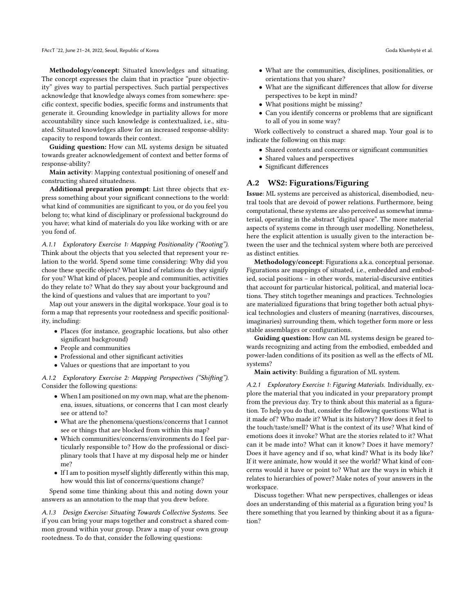Methodology/concept: Situated knowledges and situating. The concept expresses the claim that in practice "pure objectivity" gives way to partial perspectives. Such partial perspectives acknowledge that knowledge always comes from somewhere: specific context, specific bodies, specific forms and instruments that generate it. Grounding knowledge in partiality allows for more accountability since such knowledge is contextualized, i.e., situated. Situated knowledges allow for an increased response-ability: capacity to respond towards their context.

Guiding question: How can ML systems design be situated towards greater acknowledgement of context and better forms of response-ability?

Main activity: Mapping contextual positioning of oneself and constructing shared situatedness.

Additional preparation prompt: List three objects that express something about your significant connections to the world: what kind of communities are significant to you, or do you feel you belong to; what kind of disciplinary or professional background do you have; what kind of materials do you like working with or are you fond of.

A.1.1 Exploratory Exercise 1: Mapping Positionality ("Rooting"). Think about the objects that you selected that represent your relation to the world. Spend some time considering: Why did you chose these specific objects? What kind of relations do they signify for you? What kind of places, people and communities, activities do they relate to? What do they say about your background and the kind of questions and values that are important to you?

Map out your answers in the digital workspace. Your goal is to form a map that represents your rootedness and specific positionality, including:

- Places (for instance, geographic locations, but also other significant background)
- People and communities
- Professional and other significant activities
- Values or questions that are important to you

A.1.2 Exploratory Exercise 2: Mapping Perspectives ("Shifting"). Consider the following questions:

- When I am positioned on my own map, what are the phenomena, issues, situations, or concerns that I can most clearly see or attend to?
- What are the phenomena/questions/concerns that I cannot see or things that are blocked from within this map?
- Which communities/concerns/environments do I feel particularly responsible to? How do the professional or disciplinary tools that I have at my disposal help me or hinder me?
- If I am to position myself slightly differently within this map, how would this list of concerns/questions change?

Spend some time thinking about this and noting down your answers as an annotation to the map that you drew before.

A.1.3 Design Exercise: Situating Towards Collective Systems. See if you can bring your maps together and construct a shared common ground within your group. Draw a map of your own group rootedness. To do that, consider the following questions:

- What are the communities, disciplines, positionalities, or orientations that you share?
- What are the significant differences that allow for diverse perspectives to be kept in mind?
- What positions might be missing?
- Can you identify concerns or problems that are significant to all of you in some way?

Work collectively to construct a shared map. Your goal is to indicate the following on this map:

- Shared contexts and concerns or significant communities
- Shared values and perspectives
- Significant differences

## A.2 WS2: Figurations/Figuring

Issue: ML systems are perceived as ahistorical, disembodied, neutral tools that are devoid of power relations. Furthermore, being computational, these systems are also perceived as somewhat immaterial, operating in the abstract "digital space". The more material aspects of systems come in through user modelling. Nonetheless, here the explicit attention is usually given to the interaction between the user and the technical system where both are perceived as distinct entities.

Methodology/concept: Figurations a.k.a. conceptual personae. Figurations are mappings of situated, i.e., embedded and embodied, social positions – in other words, material-discursive entities that account for particular historical, political, and material locations. They stitch together meanings and practices. Technologies are materialized figurations that bring together both actual physical technologies and clusters of meaning (narratives, discourses, imaginaries) surrounding them, which together form more or less stable assemblages or configurations.

Guiding question: How can ML systems design be geared towards recognizing and acting from the embodied, embedded and power-laden conditions of its position as well as the effects of ML systems?

Main activity: Building a figuration of ML system.

A.2.1 Exploratory Exercise 1: Figuring Materials. Individually, explore the material that you indicated in your preparatory prompt from the previous day. Try to think about this material as a figuration. To help you do that, consider the following questions: What is it made of? Who made it? What is its history? How does it feel to the touch/taste/smell? What is the context of its use? What kind of emotions does it invoke? What are the stories related to it? What can it be made into? What can it know? Does it have memory? Does it have agency and if so, what kind? What is its body like? If it were animate, how would it see the world? What kind of concerns would it have or point to? What are the ways in which it relates to hierarchies of power? Make notes of your answers in the workspace.

Discuss together: What new perspectives, challenges or ideas does an understanding of this material as a figuration bring you? Is there something that you learned by thinking about it as a figuration?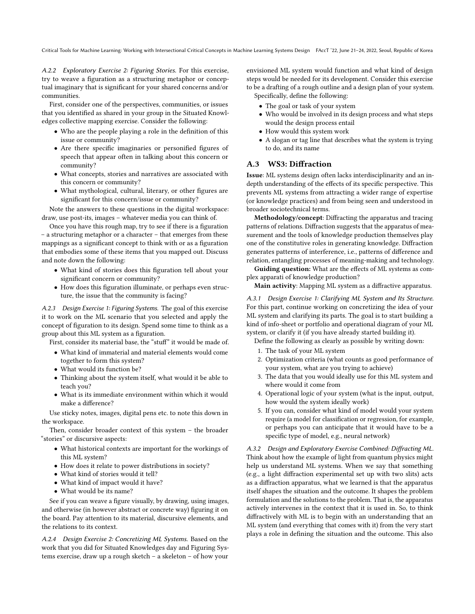Critical Tools for Machine Learning: Working with Intersectional Critical Concepts in Machine Learning Systems Design FAccT '22, June 21–24, 2022, Seoul, Republic of Korea

A.2.2 Exploratory Exercise 2: Figuring Stories. For this exercise, try to weave a figuration as a structuring metaphor or conceptual imaginary that is significant for your shared concerns and/or communities.

First, consider one of the perspectives, communities, or issues that you identified as shared in your group in the Situated Knowledges collective mapping exercise. Consider the following:

- Who are the people playing a role in the definition of this issue or community?
- Are there specific imaginaries or personified figures of speech that appear often in talking about this concern or community?
- What concepts, stories and narratives are associated with this concern or community?
- What mythological, cultural, literary, or other figures are significant for this concern/issue or community?

Note the answers to these questions in the digital workspace: draw, use post-its, images – whatever media you can think of.

Once you have this rough map, try to see if there is a figuration – a structuring metaphor or a character – that emerges from these mappings as a significant concept to think with or as a figuration that embodies some of these items that you mapped out. Discuss and note down the following:

- What kind of stories does this figuration tell about your significant concern or community?
- How does this figuration illuminate, or perhaps even structure, the issue that the community is facing?

A.2.3 Design Exercise 1: Figuring Systems. The goal of this exercise it to work on the ML scenario that you selected and apply the concept of figuration to its design. Spend some time to think as a group about this ML system as a figuration.

First, consider its material base, the "stuff" it would be made of.

- What kind of immaterial and material elements would come together to form this system?
- What would its function be?
- Thinking about the system itself, what would it be able to teach you?
- What is its immediate environment within which it would make a difference?

Use sticky notes, images, digital pens etc. to note this down in the workspace.

Then, consider broader context of this system – the broader "stories" or discursive aspects:

- What historical contexts are important for the workings of this ML system?
- How does it relate to power distributions in society?
- What kind of stories would it tell?
- What kind of impact would it have?
- What would be its name?

See if you can weave a figure visually, by drawing, using images, and otherwise (in however abstract or concrete way) figuring it on the board. Pay attention to its material, discursive elements, and the relations to its context.

A.2.4 Design Exercise 2: Concretizing ML Systems. Based on the work that you did for Situated Knowledges day and Figuring Systems exercise, draw up a rough sketch – a skeleton – of how your

envisioned ML system would function and what kind of design steps would be needed for its development. Consider this exercise to be a drafting of a rough outline and a design plan of your system. Specifically, define the following:

- The goal or task of your system
- Who would be involved in its design process and what steps would the design process entail
- How would this system work
- A slogan or tag line that describes what the system is trying to do, and its name

## A.3 WS3: Diffraction

Issue: ML systems design often lacks interdisciplinarity and an indepth understanding of the effects of its specific perspective. This prevents ML systems from attracting a wider range of expertise (or knowledge practices) and from being seen and understood in broader sociotechnical terms.

Methodology/concept: Diffracting the apparatus and tracing patterns of relations. Diffraction suggests that the apparatus of measurement and the tools of knowledge production themselves play one of the constitutive roles in generating knowledge. Diffraction generates patterns of interference, i.e., patterns of difference and relation, entangling processes of meaning-making and technology.

Guiding question: What are the effects of ML systems as complex apparati of knowledge production?

Main activity: Mapping ML system as a diffractive apparatus.

A.3.1 Design Exercise 1: Clarifying ML System and Its Structure. For this part, continue working on concretizing the idea of your ML system and clarifying its parts. The goal is to start building a kind of info-sheet or portfolio and operational diagram of your ML system, or clarify it (if you have already started building it).

Define the following as clearly as possible by writing down:

- 1. The task of your ML system
- 2. Optimization criteria (what counts as good performance of your system, what are you trying to achieve)
- 3. The data that you would ideally use for this ML system and where would it come from
- 4. Operational logic of your system (what is the input, output, how would the system ideally work)
- 5. If you can, consider what kind of model would your system require (a model for classification or regression, for example, or perhaps you can anticipate that it would have to be a specific type of model, e.g., neural network)

A.3.2 Design and Exploratory Exercise Combined: Diffracting ML. Think about how the example of light from quantum physics might help us understand ML systems. When we say that something (e.g., a light diffraction experimental set up with two slits) acts as a diffraction apparatus, what we learned is that the apparatus itself shapes the situation and the outcome. It shapes the problem formulation and the solutions to the problem. That is, the apparatus actively intervenes in the context that it is used in. So, to think diffractively with ML is to begin with an understanding that an ML system (and everything that comes with it) from the very start plays a role in defining the situation and the outcome. This also